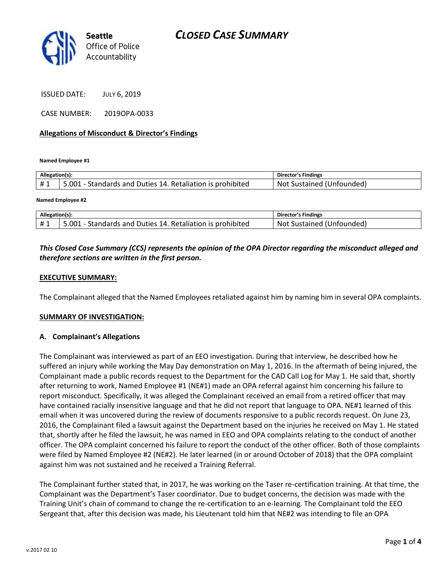

ISSUED DATE: JULY 6, 2019

CASE NUMBER: 2019OPA-0033

#### **Allegations of Misconduct & Director's Findings**

**Named Employee #1**

| Allegation(s): |                                                            | Director's Findings       |
|----------------|------------------------------------------------------------|---------------------------|
| #1             | 5.001 - Standards and Duties 14. Retaliation is prohibited | Not Sustained (Unfounded) |
|                |                                                            |                           |

**Named Employee #2**

| Allegation(s) |                                                            | <b>Director's Findings</b> |
|---------------|------------------------------------------------------------|----------------------------|
| #1            | 5.001 - Standards and Duties 14. Retaliation is prohibited | Not Sustained (Unfounded)  |

## *This Closed Case Summary (CCS) represents the opinion of the OPA Director regarding the misconduct alleged and therefore sections are written in the first person.*

### **EXECUTIVE SUMMARY:**

The Complainant alleged that the Named Employees retaliated against him by naming him in several OPA complaints.

#### **SUMMARY OF INVESTIGATION:**

#### **A. Complainant's Allegations**

The Complainant was interviewed as part of an EEO investigation. During that interview, he described how he suffered an injury while working the May Day demonstration on May 1, 2016. In the aftermath of being injured, the Complainant made a public records request to the Department for the CAD Call Log for May 1. He said that, shortly after returning to work, Named Employee #1 (NE#1) made an OPA referral against him concerning his failure to report misconduct. Specifically, it was alleged the Complainant received an email from a retired officer that may have contained racially insensitive language and that he did not report that language to OPA. NE#1 learned of this email when it was uncovered during the review of documents responsive to a public records request. On June 23, 2016, the Complainant filed a lawsuit against the Department based on the injuries he received on May 1. He stated that, shortly after he filed the lawsuit, he was named in EEO and OPA complaints relating to the conduct of another officer. The OPA complaint concerned his failure to report the conduct of the other officer. Both of those complaints were filed by Named Employee #2 (NE#2). He later learned (in or around October of 2018) that the OPA complaint against him was not sustained and he received a Training Referral.

The Complainant further stated that, in 2017, he was working on the Taser re-certification training. At that time, the Complainant was the Department's Taser coordinator. Due to budget concerns, the decision was made with the Training Unit's chain of command to change the re-certification to an e-learning. The Complainant told the EEO Sergeant that, after this decision was made, his Lieutenant told him that NE#2 was intending to file an OPA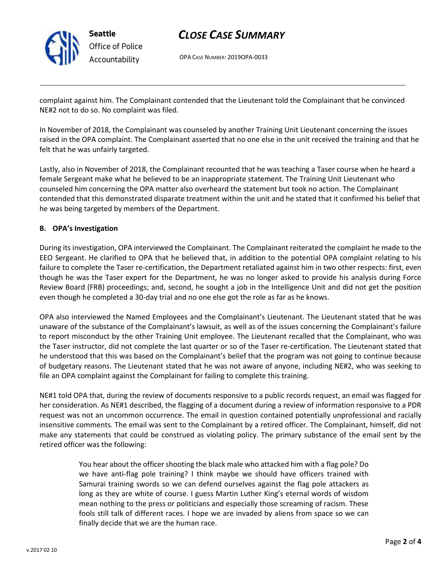

# *CLOSE CASE SUMMARY*

OPA CASE NUMBER: 2019OPA-0033

complaint against him. The Complainant contended that the Lieutenant told the Complainant that he convinced NE#2 not to do so. No complaint was filed.

In November of 2018, the Complainant was counseled by another Training Unit Lieutenant concerning the issues raised in the OPA complaint. The Complainant asserted that no one else in the unit received the training and that he felt that he was unfairly targeted.

Lastly, also in November of 2018, the Complainant recounted that he was teaching a Taser course when he heard a female Sergeant make what he believed to be an inappropriate statement. The Training Unit Lieutenant who counseled him concerning the OPA matter also overheard the statement but took no action. The Complainant contended that this demonstrated disparate treatment within the unit and he stated that it confirmed his belief that he was being targeted by members of the Department.

### **B. OPA's Investigation**

During its investigation, OPA interviewed the Complainant. The Complainant reiterated the complaint he made to the EEO Sergeant. He clarified to OPA that he believed that, in addition to the potential OPA complaint relating to his failure to complete the Taser re-certification, the Department retaliated against him in two other respects: first, even though he was the Taser expert for the Department, he was no longer asked to provide his analysis during Force Review Board (FRB) proceedings; and, second, he sought a job in the Intelligence Unit and did not get the position even though he completed a 30-day trial and no one else got the role as far as he knows.

OPA also interviewed the Named Employees and the Complainant's Lieutenant. The Lieutenant stated that he was unaware of the substance of the Complainant's lawsuit, as well as of the issues concerning the Complainant's failure to report misconduct by the other Training Unit employee. The Lieutenant recalled that the Complainant, who was the Taser instructor, did not complete the last quarter or so of the Taser re-certification. The Lieutenant stated that he understood that this was based on the Complainant's belief that the program was not going to continue because of budgetary reasons. The Lieutenant stated that he was not aware of anyone, including NE#2, who was seeking to file an OPA complaint against the Complainant for failing to complete this training.

NE#1 told OPA that, during the review of documents responsive to a public records request, an email was flagged for her consideration. As NE#1 described, the flagging of a document during a review of information responsive to a PDR request was not an uncommon occurrence. The email in question contained potentially unprofessional and racially insensitive comments. The email was sent to the Complainant by a retired officer. The Complainant, himself, did not make any statements that could be construed as violating policy. The primary substance of the email sent by the retired officer was the following:

> You hear about the officer shooting the black male who attacked him with a flag pole? Do we have anti-flag pole training? I think maybe we should have officers trained with Samurai training swords so we can defend ourselves against the flag pole attackers as long as they are white of course. I guess Martin Luther King's eternal words of wisdom mean nothing to the press or politicians and especially those screaming of racism. These fools still talk of different races. I hope we are invaded by aliens from space so we can finally decide that we are the human race.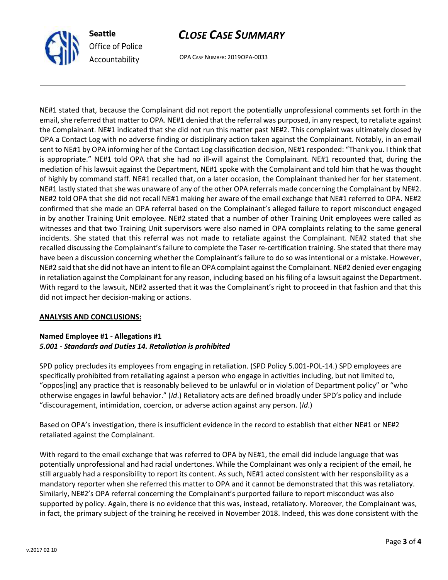

# *CLOSE CASE SUMMARY*

OPA CASE NUMBER: 2019OPA-0033

NE#1 stated that, because the Complainant did not report the potentially unprofessional comments set forth in the email, she referred that matter to OPA. NE#1 denied that the referral was purposed, in any respect, to retaliate against the Complainant. NE#1 indicated that she did not run this matter past NE#2. This complaint was ultimately closed by OPA a Contact Log with no adverse finding or disciplinary action taken against the Complainant. Notably, in an email sent to NE#1 by OPA informing her of the Contact Log classification decision, NE#1 responded: "Thank you. I think that is appropriate." NE#1 told OPA that she had no ill-will against the Complainant. NE#1 recounted that, during the mediation of his lawsuit against the Department, NE#1 spoke with the Complainant and told him that he was thought of highly by command staff. NE#1 recalled that, on a later occasion, the Complainant thanked her for her statement. NE#1 lastly stated that she was unaware of any of the other OPA referrals made concerning the Complainant by NE#2. NE#2 told OPA that she did not recall NE#1 making her aware of the email exchange that NE#1 referred to OPA. NE#2 confirmed that she made an OPA referral based on the Complainant's alleged failure to report misconduct engaged in by another Training Unit employee. NE#2 stated that a number of other Training Unit employees were called as witnesses and that two Training Unit supervisors were also named in OPA complaints relating to the same general incidents. She stated that this referral was not made to retaliate against the Complainant. NE#2 stated that she recalled discussing the Complainant's failure to complete the Taser re-certification training. She stated that there may have been a discussion concerning whether the Complainant's failure to do so was intentional or a mistake. However, NE#2 said that she did not have an intent to file an OPA complaint against the Complainant. NE#2 denied ever engaging in retaliation against the Complainant for any reason, including based on his filing of a lawsuit against the Department. With regard to the lawsuit, NE#2 asserted that it was the Complainant's right to proceed in that fashion and that this did not impact her decision-making or actions.

### **ANALYSIS AND CONCLUSIONS:**

## **Named Employee #1 - Allegations #1** *5.001 - Standards and Duties 14. Retaliation is prohibited*

SPD policy precludes its employees from engaging in retaliation. (SPD Policy 5.001-POL-14.) SPD employees are specifically prohibited from retaliating against a person who engage in activities including, but not limited to, "oppos[ing] any practice that is reasonably believed to be unlawful or in violation of Department policy" or "who otherwise engages in lawful behavior." (*Id*.) Retaliatory acts are defined broadly under SPD's policy and include "discouragement, intimidation, coercion, or adverse action against any person. (*Id*.)

Based on OPA's investigation, there is insufficient evidence in the record to establish that either NE#1 or NE#2 retaliated against the Complainant.

With regard to the email exchange that was referred to OPA by NE#1, the email did include language that was potentially unprofessional and had racial undertones. While the Complainant was only a recipient of the email, he still arguably had a responsibility to report its content. As such, NE#1 acted consistent with her responsibility as a mandatory reporter when she referred this matter to OPA and it cannot be demonstrated that this was retaliatory. Similarly, NE#2's OPA referral concerning the Complainant's purported failure to report misconduct was also supported by policy. Again, there is no evidence that this was, instead, retaliatory. Moreover, the Complainant was, in fact, the primary subject of the training he received in November 2018. Indeed, this was done consistent with the